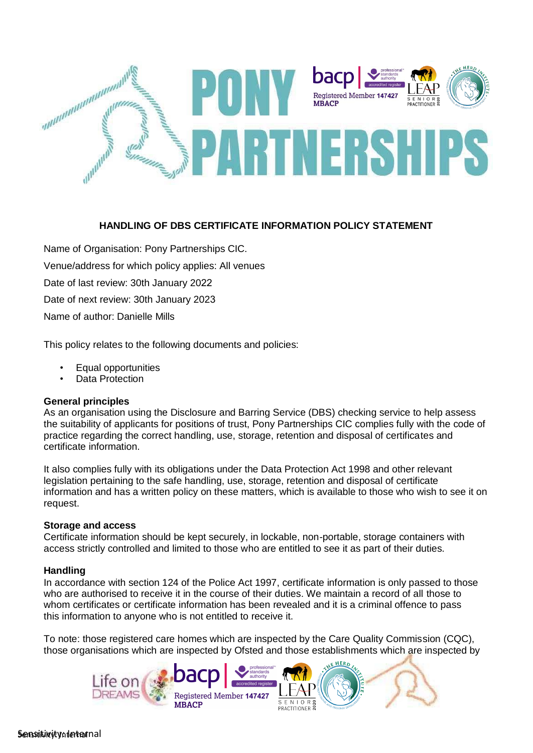

# **HANDLING OF DBS CERTIFICATE INFORMATION POLICY STATEMENT**

Name of Organisation: Pony Partnerships CIC. Venue/address for which policy applies: All venues Date of last review: 30th January 2022 Date of next review: 30th January 2023 Name of author: Danielle Mills

This policy relates to the following documents and policies:

- Equal opportunities
- Data Protection

#### **General principles**

As an organisation using the Disclosure and Barring Service (DBS) checking service to help assess the suitability of applicants for positions of trust, Pony Partnerships CIC complies fully with the code of practice regarding the correct handling, use, storage, retention and disposal of certificates and certificate information.

It also complies fully with its obligations under the Data Protection Act 1998 and other relevant legislation pertaining to the safe handling, use, storage, retention and disposal of certificate information and has a written policy on these matters, which is available to those who wish to see it on request.

#### **Storage and access**

Certificate information should be kept securely, in lockable, non-portable, storage containers with access strictly controlled and limited to those who are entitled to see it as part of their duties.

#### **Handling**

In accordance with section 124 of the Police Act 1997, certificate information is only passed to those who are authorised to receive it in the course of their duties. We maintain a record of all those to whom certificates or certificate information has been revealed and it is a criminal offence to pass this information to anyone who is not entitled to receive it.

To note: those registered care homes which are inspected by the Care Quality Commission (CQC), those organisations which are inspected by Ofsted and those establishments which are inspected by